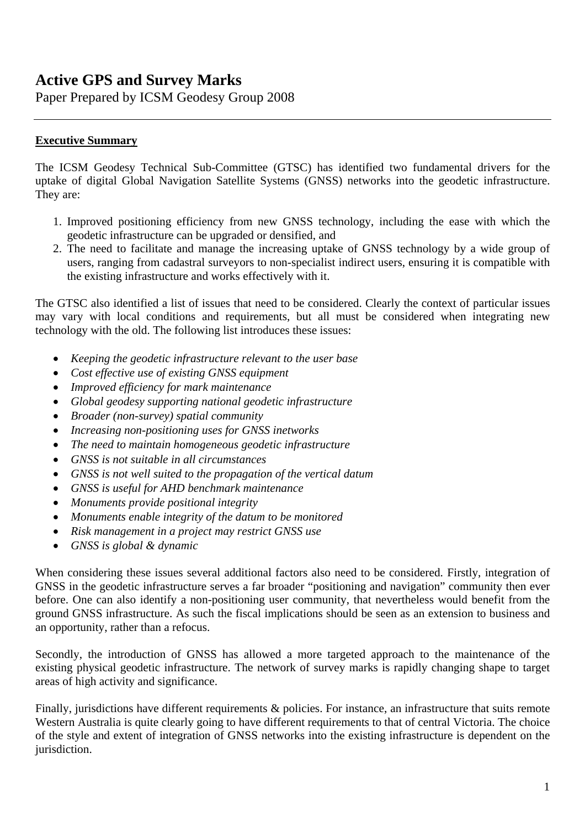# **Active GPS and Survey Marks**

Paper Prepared by ICSM Geodesy Group 2008

### **Executive Summary**

The ICSM Geodesy Technical Sub-Committee (GTSC) has identified two fundamental drivers for the uptake of digital Global Navigation Satellite Systems (GNSS) networks into the geodetic infrastructure. They are:

- 1. Improved positioning efficiency from new GNSS technology, including the ease with which the geodetic infrastructure can be upgraded or densified, and
- 2. The need to facilitate and manage the increasing uptake of GNSS technology by a wide group of users, ranging from cadastral surveyors to non-specialist indirect users, ensuring it is compatible with the existing infrastructure and works effectively with it.

The GTSC also identified a list of issues that need to be considered. Clearly the context of particular issues may vary with local conditions and requirements, but all must be considered when integrating new technology with the old. The following list introduces these issues:

- *Keeping the geodetic infrastructure relevant to the user base*
- *Cost effective use of existing GNSS equipment*
- *Improved efficiency for mark maintenance*
- *Global geodesy supporting national geodetic infrastructure*
- *Broader (non-survey) spatial community*
- *Increasing non-positioning uses for GNSS inetworks*
- *The need to maintain homogeneous geodetic infrastructure*
- *GNSS is not suitable in all circumstances*
- *GNSS is not well suited to the propagation of the vertical datum*
- *GNSS is useful for AHD benchmark maintenance*
- *Monuments provide positional integrity*
- *Monuments enable integrity of the datum to be monitored*
- *Risk management in a project may restrict GNSS use*
- *GNSS is global & dynamic*

When considering these issues several additional factors also need to be considered. Firstly, integration of GNSS in the geodetic infrastructure serves a far broader "positioning and navigation" community then ever before. One can also identify a non-positioning user community, that nevertheless would benefit from the ground GNSS infrastructure. As such the fiscal implications should be seen as an extension to business and an opportunity, rather than a refocus.

Secondly, the introduction of GNSS has allowed a more targeted approach to the maintenance of the existing physical geodetic infrastructure. The network of survey marks is rapidly changing shape to target areas of high activity and significance.

Finally, jurisdictions have different requirements & policies. For instance, an infrastructure that suits remote Western Australia is quite clearly going to have different requirements to that of central Victoria. The choice of the style and extent of integration of GNSS networks into the existing infrastructure is dependent on the jurisdiction.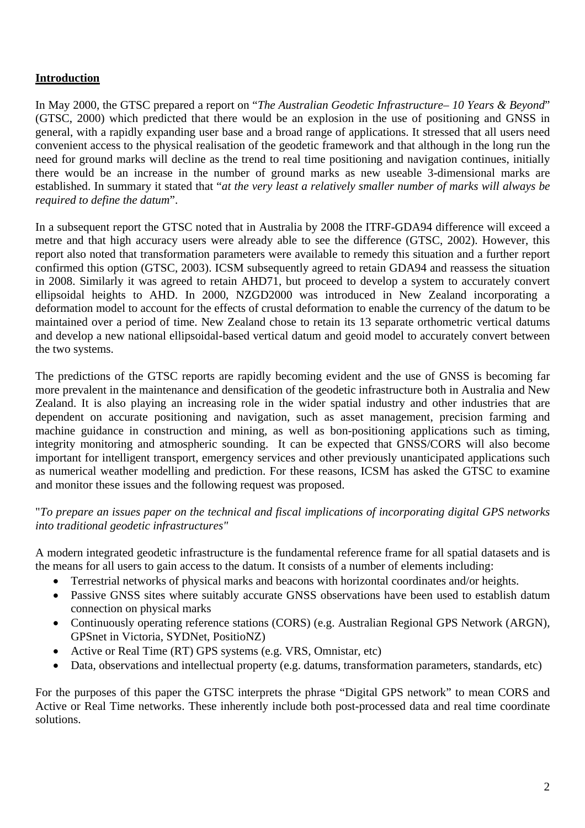# **Introduction**

In May 2000, the GTSC prepared a report on "*The Australian Geodetic Infrastructure– 10 Years & Beyond*" (GTSC, 2000) which predicted that there would be an explosion in the use of positioning and GNSS in general, with a rapidly expanding user base and a broad range of applications. It stressed that all users need convenient access to the physical realisation of the geodetic framework and that although in the long run the need for ground marks will decline as the trend to real time positioning and navigation continues, initially there would be an increase in the number of ground marks as new useable 3-dimensional marks are established. In summary it stated that "*at the very least a relatively smaller number of marks will always be required to define the datum*".

In a subsequent report the GTSC noted that in Australia by 2008 the ITRF-GDA94 difference will exceed a metre and that high accuracy users were already able to see the difference (GTSC, 2002). However, this report also noted that transformation parameters were available to remedy this situation and a further report confirmed this option (GTSC, 2003). ICSM subsequently agreed to retain GDA94 and reassess the situation in 2008. Similarly it was agreed to retain AHD71, but proceed to develop a system to accurately convert ellipsoidal heights to AHD. In 2000, NZGD2000 was introduced in New Zealand incorporating a deformation model to account for the effects of crustal deformation to enable the currency of the datum to be maintained over a period of time. New Zealand chose to retain its 13 separate orthometric vertical datums and develop a new national ellipsoidal-based vertical datum and geoid model to accurately convert between the two systems.

The predictions of the GTSC reports are rapidly becoming evident and the use of GNSS is becoming far more prevalent in the maintenance and densification of the geodetic infrastructure both in Australia and New Zealand. It is also playing an increasing role in the wider spatial industry and other industries that are dependent on accurate positioning and navigation, such as asset management, precision farming and machine guidance in construction and mining, as well as bon-positioning applications such as timing, integrity monitoring and atmospheric sounding. It can be expected that GNSS/CORS will also become important for intelligent transport, emergency services and other previously unanticipated applications such as numerical weather modelling and prediction. For these reasons, ICSM has asked the GTSC to examine and monitor these issues and the following request was proposed.

#### "*To prepare an issues paper on the technical and fiscal implications of incorporating digital GPS networks into traditional geodetic infrastructures"*

A modern integrated geodetic infrastructure is the fundamental reference frame for all spatial datasets and is the means for all users to gain access to the datum. It consists of a number of elements including:

- Terrestrial networks of physical marks and beacons with horizontal coordinates and/or heights.
- Passive GNSS sites where suitably accurate GNSS observations have been used to establish datum connection on physical marks
- Continuously operating reference stations (CORS) (e.g. Australian Regional GPS Network (ARGN), GPSnet in Victoria, SYDNet, PositioNZ)
- Active or Real Time (RT) GPS systems (e.g. VRS, Omnistar, etc)
- Data, observations and intellectual property (e.g. datums, transformation parameters, standards, etc)

For the purposes of this paper the GTSC interprets the phrase "Digital GPS network" to mean CORS and Active or Real Time networks. These inherently include both post-processed data and real time coordinate solutions.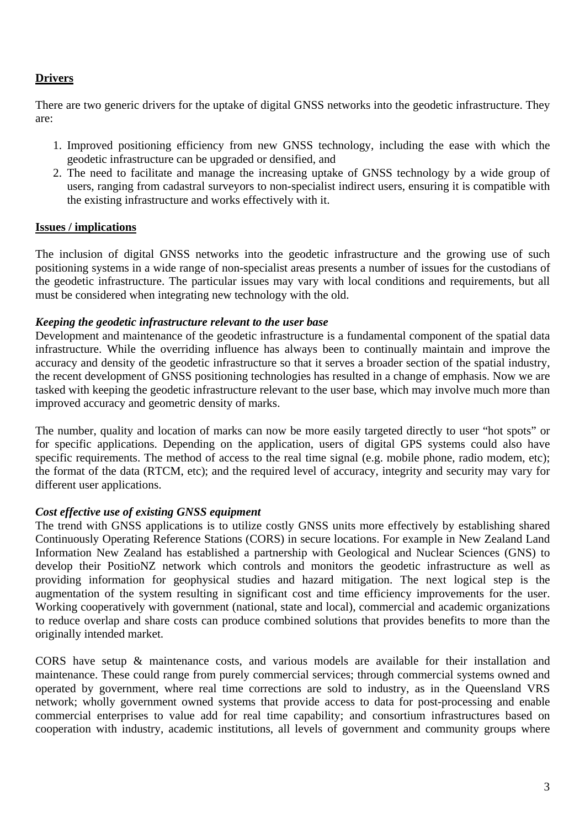# **Drivers**

There are two generic drivers for the uptake of digital GNSS networks into the geodetic infrastructure. They are:

- 1. Improved positioning efficiency from new GNSS technology, including the ease with which the geodetic infrastructure can be upgraded or densified, and
- 2. The need to facilitate and manage the increasing uptake of GNSS technology by a wide group of users, ranging from cadastral surveyors to non-specialist indirect users, ensuring it is compatible with the existing infrastructure and works effectively with it.

# **Issues / implications**

The inclusion of digital GNSS networks into the geodetic infrastructure and the growing use of such positioning systems in a wide range of non-specialist areas presents a number of issues for the custodians of the geodetic infrastructure. The particular issues may vary with local conditions and requirements, but all must be considered when integrating new technology with the old.

# *Keeping the geodetic infrastructure relevant to the user base*

Development and maintenance of the geodetic infrastructure is a fundamental component of the spatial data infrastructure. While the overriding influence has always been to continually maintain and improve the accuracy and density of the geodetic infrastructure so that it serves a broader section of the spatial industry, the recent development of GNSS positioning technologies has resulted in a change of emphasis. Now we are tasked with keeping the geodetic infrastructure relevant to the user base, which may involve much more than improved accuracy and geometric density of marks.

The number, quality and location of marks can now be more easily targeted directly to user "hot spots" or for specific applications. Depending on the application, users of digital GPS systems could also have specific requirements. The method of access to the real time signal (e.g. mobile phone, radio modem, etc); the format of the data (RTCM, etc); and the required level of accuracy, integrity and security may vary for different user applications.

# *Cost effective use of existing GNSS equipment*

The trend with GNSS applications is to utilize costly GNSS units more effectively by establishing shared Continuously Operating Reference Stations (CORS) in secure locations. For example in New Zealand Land Information New Zealand has established a partnership with Geological and Nuclear Sciences (GNS) to develop their PositioNZ network which controls and monitors the geodetic infrastructure as well as providing information for geophysical studies and hazard mitigation. The next logical step is the augmentation of the system resulting in significant cost and time efficiency improvements for the user. Working cooperatively with government (national, state and local), commercial and academic organizations to reduce overlap and share costs can produce combined solutions that provides benefits to more than the originally intended market.

CORS have setup & maintenance costs, and various models are available for their installation and maintenance. These could range from purely commercial services; through commercial systems owned and operated by government, where real time corrections are sold to industry, as in the Queensland VRS network; wholly government owned systems that provide access to data for post-processing and enable commercial enterprises to value add for real time capability; and consortium infrastructures based on cooperation with industry, academic institutions, all levels of government and community groups where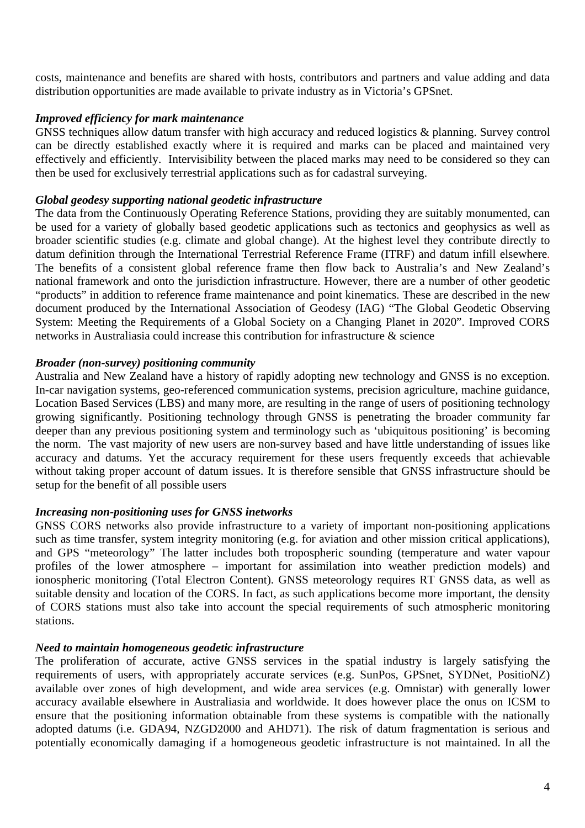costs, maintenance and benefits are shared with hosts, contributors and partners and value adding and data distribution opportunities are made available to private industry as in Victoria's GPSnet.

### *Improved efficiency for mark maintenance*

GNSS techniques allow datum transfer with high accuracy and reduced logistics & planning. Survey control can be directly established exactly where it is required and marks can be placed and maintained very effectively and efficiently. Intervisibility between the placed marks may need to be considered so they can then be used for exclusively terrestrial applications such as for cadastral surveying.

#### *Global geodesy supporting national geodetic infrastructure*

The data from the Continuously Operating Reference Stations, providing they are suitably monumented, can be used for a variety of globally based geodetic applications such as tectonics and geophysics as well as broader scientific studies (e.g. climate and global change). At the highest level they contribute directly to datum definition through the International Terrestrial Reference Frame (ITRF) and datum infill elsewhere. The benefits of a consistent global reference frame then flow back to Australia's and New Zealand's national framework and onto the jurisdiction infrastructure. However, there are a number of other geodetic "products" in addition to reference frame maintenance and point kinematics. These are described in the new document produced by the International Association of Geodesy (IAG) "The Global Geodetic Observing System: Meeting the Requirements of a Global Society on a Changing Planet in 2020". Improved CORS networks in Australiasia could increase this contribution for infrastructure & science

#### *Broader (non-survey) positioning community*

Australia and New Zealand have a history of rapidly adopting new technology and GNSS is no exception. In-car navigation systems, geo-referenced communication systems, precision agriculture, machine guidance, Location Based Services (LBS) and many more, are resulting in the range of users of positioning technology growing significantly. Positioning technology through GNSS is penetrating the broader community far deeper than any previous positioning system and terminology such as 'ubiquitous positioning' is becoming the norm. The vast majority of new users are non-survey based and have little understanding of issues like accuracy and datums. Yet the accuracy requirement for these users frequently exceeds that achievable without taking proper account of datum issues. It is therefore sensible that GNSS infrastructure should be setup for the benefit of all possible users

#### *Increasing non-positioning uses for GNSS inetworks*

GNSS CORS networks also provide infrastructure to a variety of important non-positioning applications such as time transfer, system integrity monitoring (e.g. for aviation and other mission critical applications), and GPS "meteorology" The latter includes both tropospheric sounding (temperature and water vapour profiles of the lower atmosphere – important for assimilation into weather prediction models) and ionospheric monitoring (Total Electron Content). GNSS meteorology requires RT GNSS data, as well as suitable density and location of the CORS. In fact, as such applications become more important, the density of CORS stations must also take into account the special requirements of such atmospheric monitoring stations.

#### *Need to maintain homogeneous geodetic infrastructure*

The proliferation of accurate, active GNSS services in the spatial industry is largely satisfying the requirements of users, with appropriately accurate services (e.g. SunPos, GPSnet, SYDNet, PositioNZ) available over zones of high development, and wide area services (e.g. Omnistar) with generally lower accuracy available elsewhere in Australiasia and worldwide. It does however place the onus on ICSM to ensure that the positioning information obtainable from these systems is compatible with the nationally adopted datums (i.e. GDA94, NZGD2000 and AHD71). The risk of datum fragmentation is serious and potentially economically damaging if a homogeneous geodetic infrastructure is not maintained. In all the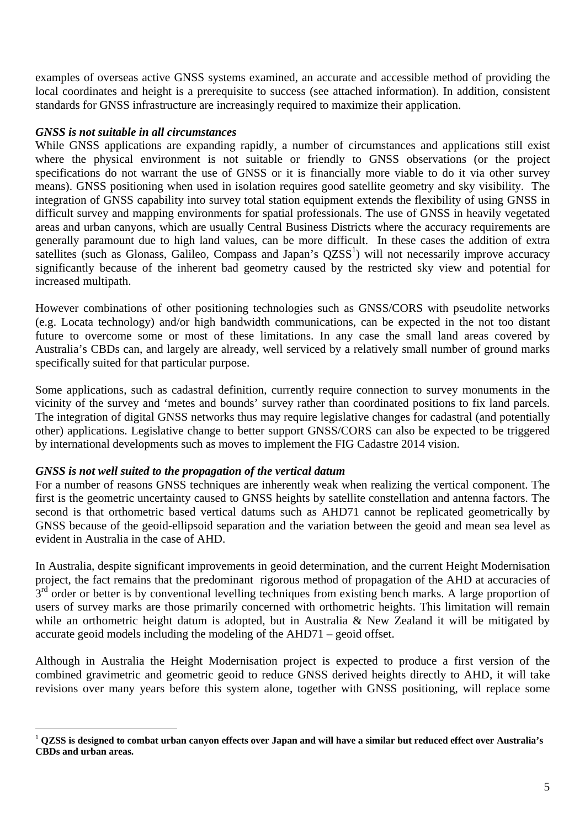examples of overseas active GNSS systems examined, an accurate and accessible method of providing the local coordinates and height is a prerequisite to success (see attached information). In addition, consistent standards for GNSS infrastructure are increasingly required to maximize their application.

#### *GNSS is not suitable in all circumstances*

While GNSS applications are expanding rapidly, a number of circumstances and applications still exist where the physical environment is not suitable or friendly to GNSS observations (or the project specifications do not warrant the use of GNSS or it is financially more viable to do it via other survey means). GNSS positioning when used in isolation requires good satellite geometry and sky visibility. The integration of GNSS capability into survey total station equipment extends the flexibility of using GNSS in difficult survey and mapping environments for spatial professionals. The use of GNSS in heavily vegetated areas and urban canyons, which are usually Central Business Districts where the accuracy requirements are generally paramount due to high land values, can be more difficult. In these cases the addition of extra satellites (such as Glonass, Galileo, Compass and Japan's  $QZSS<sup>1</sup>$ ) will not necessarily improve accuracy significantly because of the inherent bad geometry caused by the restricted sky view and potential for increased multipath.

However combinations of other positioning technologies such as GNSS/CORS with pseudolite networks (e.g. Locata technology) and/or high bandwidth communications, can be expected in the not too distant future to overcome some or most of these limitations. In any case the small land areas covered by Australia's CBDs can, and largely are already, well serviced by a relatively small number of ground marks specifically suited for that particular purpose.

Some applications, such as cadastral definition, currently require connection to survey monuments in the vicinity of the survey and 'metes and bounds' survey rather than coordinated positions to fix land parcels. The integration of digital GNSS networks thus may require legislative changes for cadastral (and potentially other) applications. Legislative change to better support GNSS/CORS can also be expected to be triggered by international developments such as moves to implement the FIG Cadastre 2014 vision.

# *GNSS is not well suited to the propagation of the vertical datum*

 $\overline{a}$ 

For a number of reasons GNSS techniques are inherently weak when realizing the vertical component. The first is the geometric uncertainty caused to GNSS heights by satellite constellation and antenna factors. The second is that orthometric based vertical datums such as AHD71 cannot be replicated geometrically by GNSS because of the geoid-ellipsoid separation and the variation between the geoid and mean sea level as evident in Australia in the case of AHD.

In Australia, despite significant improvements in geoid determination, and the current Height Modernisation project, the fact remains that the predominant rigorous method of propagation of the AHD at accuracies of  $3<sup>rd</sup>$  order or better is by conventional levelling techniques from existing bench marks. A large proportion of users of survey marks are those primarily concerned with orthometric heights. This limitation will remain while an orthometric height datum is adopted, but in Australia & New Zealand it will be mitigated by accurate geoid models including the modeling of the AHD71 – geoid offset.

Although in Australia the Height Modernisation project is expected to produce a first version of the combined gravimetric and geometric geoid to reduce GNSS derived heights directly to AHD, it will take revisions over many years before this system alone, together with GNSS positioning, will replace some

<sup>1</sup> **QZSS is designed to combat urban canyon effects over Japan and will have a similar but reduced effect over Australia's CBDs and urban areas.**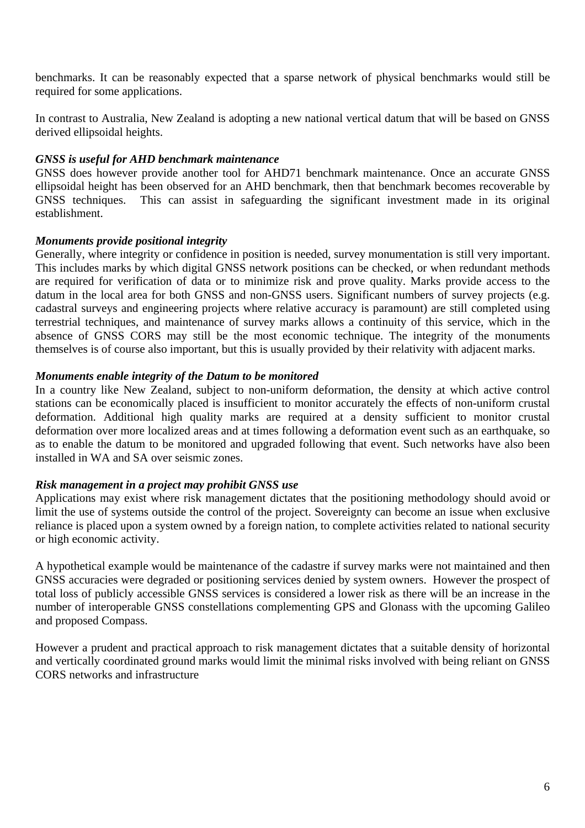benchmarks. It can be reasonably expected that a sparse network of physical benchmarks would still be required for some applications.

In contrast to Australia, New Zealand is adopting a new national vertical datum that will be based on GNSS derived ellipsoidal heights.

### *GNSS is useful for AHD benchmark maintenance*

GNSS does however provide another tool for AHD71 benchmark maintenance. Once an accurate GNSS ellipsoidal height has been observed for an AHD benchmark, then that benchmark becomes recoverable by GNSS techniques. This can assist in safeguarding the significant investment made in its original establishment.

#### *Monuments provide positional integrity*

Generally, where integrity or confidence in position is needed, survey monumentation is still very important. This includes marks by which digital GNSS network positions can be checked, or when redundant methods are required for verification of data or to minimize risk and prove quality. Marks provide access to the datum in the local area for both GNSS and non-GNSS users. Significant numbers of survey projects (e.g. cadastral surveys and engineering projects where relative accuracy is paramount) are still completed using terrestrial techniques, and maintenance of survey marks allows a continuity of this service, which in the absence of GNSS CORS may still be the most economic technique. The integrity of the monuments themselves is of course also important, but this is usually provided by their relativity with adjacent marks.

#### *Monuments enable integrity of the Datum to be monitored*

In a country like New Zealand, subject to non-uniform deformation, the density at which active control stations can be economically placed is insufficient to monitor accurately the effects of non-uniform crustal deformation. Additional high quality marks are required at a density sufficient to monitor crustal deformation over more localized areas and at times following a deformation event such as an earthquake, so as to enable the datum to be monitored and upgraded following that event. Such networks have also been installed in WA and SA over seismic zones.

#### *Risk management in a project may prohibit GNSS use*

Applications may exist where risk management dictates that the positioning methodology should avoid or limit the use of systems outside the control of the project. Sovereignty can become an issue when exclusive reliance is placed upon a system owned by a foreign nation, to complete activities related to national security or high economic activity.

A hypothetical example would be maintenance of the cadastre if survey marks were not maintained and then GNSS accuracies were degraded or positioning services denied by system owners. However the prospect of total loss of publicly accessible GNSS services is considered a lower risk as there will be an increase in the number of interoperable GNSS constellations complementing GPS and Glonass with the upcoming Galileo and proposed Compass.

However a prudent and practical approach to risk management dictates that a suitable density of horizontal and vertically coordinated ground marks would limit the minimal risks involved with being reliant on GNSS CORS networks and infrastructure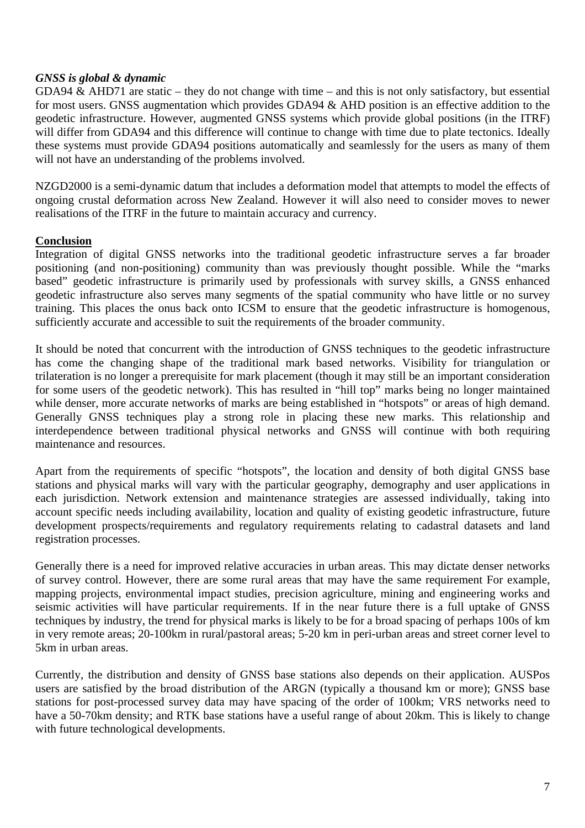# *GNSS is global & dynamic*

GDA94 & AHD71 are static – they do not change with time – and this is not only satisfactory, but essential for most users. GNSS augmentation which provides GDA94 & AHD position is an effective addition to the geodetic infrastructure. However, augmented GNSS systems which provide global positions (in the ITRF) will differ from GDA94 and this difference will continue to change with time due to plate tectonics. Ideally these systems must provide GDA94 positions automatically and seamlessly for the users as many of them will not have an understanding of the problems involved.

NZGD2000 is a semi-dynamic datum that includes a deformation model that attempts to model the effects of ongoing crustal deformation across New Zealand. However it will also need to consider moves to newer realisations of the ITRF in the future to maintain accuracy and currency.

# **Conclusion**

Integration of digital GNSS networks into the traditional geodetic infrastructure serves a far broader positioning (and non-positioning) community than was previously thought possible. While the "marks based" geodetic infrastructure is primarily used by professionals with survey skills, a GNSS enhanced geodetic infrastructure also serves many segments of the spatial community who have little or no survey training. This places the onus back onto ICSM to ensure that the geodetic infrastructure is homogenous, sufficiently accurate and accessible to suit the requirements of the broader community.

It should be noted that concurrent with the introduction of GNSS techniques to the geodetic infrastructure has come the changing shape of the traditional mark based networks. Visibility for triangulation or trilateration is no longer a prerequisite for mark placement (though it may still be an important consideration for some users of the geodetic network). This has resulted in "hill top" marks being no longer maintained while denser, more accurate networks of marks are being established in "hotspots" or areas of high demand. Generally GNSS techniques play a strong role in placing these new marks. This relationship and interdependence between traditional physical networks and GNSS will continue with both requiring maintenance and resources.

Apart from the requirements of specific "hotspots", the location and density of both digital GNSS base stations and physical marks will vary with the particular geography, demography and user applications in each jurisdiction. Network extension and maintenance strategies are assessed individually, taking into account specific needs including availability, location and quality of existing geodetic infrastructure, future development prospects/requirements and regulatory requirements relating to cadastral datasets and land registration processes.

Generally there is a need for improved relative accuracies in urban areas. This may dictate denser networks of survey control. However, there are some rural areas that may have the same requirement For example, mapping projects, environmental impact studies, precision agriculture, mining and engineering works and seismic activities will have particular requirements. If in the near future there is a full uptake of GNSS techniques by industry, the trend for physical marks is likely to be for a broad spacing of perhaps 100s of km in very remote areas; 20-100km in rural/pastoral areas; 5-20 km in peri-urban areas and street corner level to 5km in urban areas.

Currently, the distribution and density of GNSS base stations also depends on their application. AUSPos users are satisfied by the broad distribution of the ARGN (typically a thousand km or more); GNSS base stations for post-processed survey data may have spacing of the order of 100km; VRS networks need to have a 50-70km density; and RTK base stations have a useful range of about 20km. This is likely to change with future technological developments.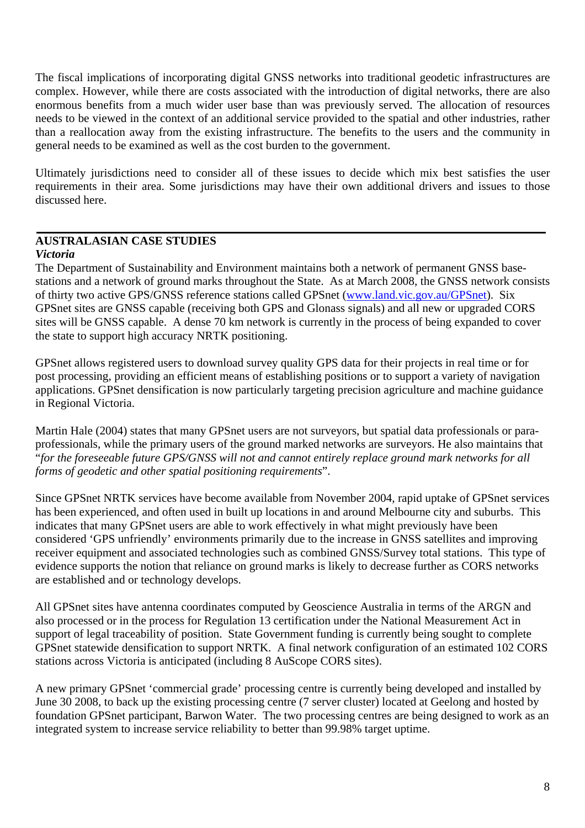The fiscal implications of incorporating digital GNSS networks into traditional geodetic infrastructures are complex. However, while there are costs associated with the introduction of digital networks, there are also enormous benefits from a much wider user base than was previously served. The allocation of resources needs to be viewed in the context of an additional service provided to the spatial and other industries, rather than a reallocation away from the existing infrastructure. The benefits to the users and the community in general needs to be examined as well as the cost burden to the government.

Ultimately jurisdictions need to consider all of these issues to decide which mix best satisfies the user requirements in their area. Some jurisdictions may have their own additional drivers and issues to those discussed here.

# **AUSTRALASIAN CASE STUDIES**

#### *Victoria*

The Department of Sustainability and Environment maintains both a network of permanent GNSS basestations and a network of ground marks throughout the State. As at March 2008, the GNSS network consists of thirty two active GPS/GNSS reference stations called GPSnet (www.land.vic.gov.au/GPSnet). Six GPSnet sites are GNSS capable (receiving both GPS and Glonass signals) and all new or upgraded CORS sites will be GNSS capable. A dense 70 km network is currently in the process of being expanded to cover the state to support high accuracy NRTK positioning.

GPSnet allows registered users to download survey quality GPS data for their projects in real time or for post processing, providing an efficient means of establishing positions or to support a variety of navigation applications. GPSnet densification is now particularly targeting precision agriculture and machine guidance in Regional Victoria.

Martin Hale (2004) states that many GPSnet users are not surveyors, but spatial data professionals or paraprofessionals, while the primary users of the ground marked networks are surveyors. He also maintains that "*for the foreseeable future GPS/GNSS will not and cannot entirely replace ground mark networks for all forms of geodetic and other spatial positioning requirements*".

Since GPSnet NRTK services have become available from November 2004, rapid uptake of GPSnet services has been experienced, and often used in built up locations in and around Melbourne city and suburbs. This indicates that many GPSnet users are able to work effectively in what might previously have been considered 'GPS unfriendly' environments primarily due to the increase in GNSS satellites and improving receiver equipment and associated technologies such as combined GNSS/Survey total stations. This type of evidence supports the notion that reliance on ground marks is likely to decrease further as CORS networks are established and or technology develops.

All GPSnet sites have antenna coordinates computed by Geoscience Australia in terms of the ARGN and also processed or in the process for Regulation 13 certification under the National Measurement Act in support of legal traceability of position. State Government funding is currently being sought to complete GPSnet statewide densification to support NRTK. A final network configuration of an estimated 102 CORS stations across Victoria is anticipated (including 8 AuScope CORS sites).

A new primary GPSnet 'commercial grade' processing centre is currently being developed and installed by June 30 2008, to back up the existing processing centre (7 server cluster) located at Geelong and hosted by foundation GPSnet participant, Barwon Water. The two processing centres are being designed to work as an integrated system to increase service reliability to better than 99.98% target uptime.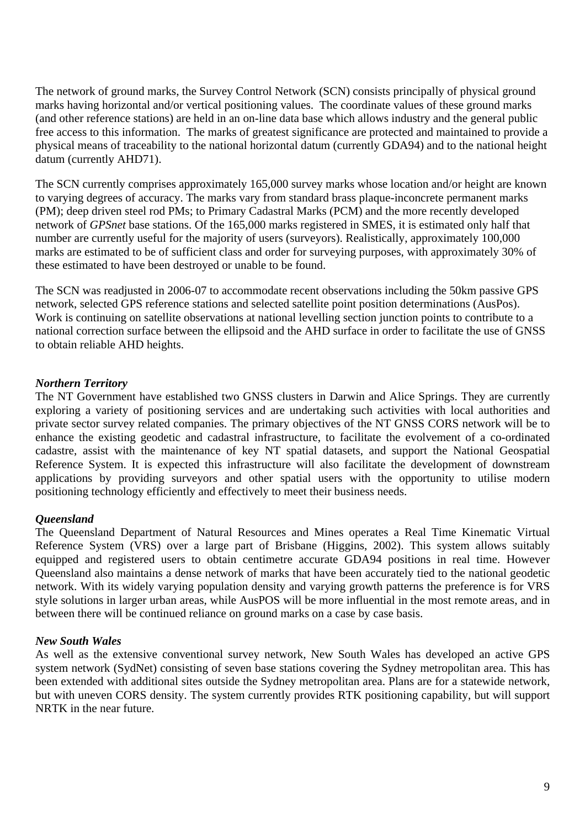The network of ground marks, the Survey Control Network (SCN) consists principally of physical ground marks having horizontal and/or vertical positioning values. The coordinate values of these ground marks (and other reference stations) are held in an on-line data base which allows industry and the general public free access to this information. The marks of greatest significance are protected and maintained to provide a physical means of traceability to the national horizontal datum (currently GDA94) and to the national height datum (currently AHD71).

The SCN currently comprises approximately 165,000 survey marks whose location and/or height are known to varying degrees of accuracy. The marks vary from standard brass plaque-inconcrete permanent marks (PM); deep driven steel rod PMs; to Primary Cadastral Marks (PCM) and the more recently developed network of *GPSnet* base stations. Of the 165,000 marks registered in SMES, it is estimated only half that number are currently useful for the majority of users (surveyors). Realistically, approximately 100,000 marks are estimated to be of sufficient class and order for surveying purposes, with approximately 30% of these estimated to have been destroyed or unable to be found.

The SCN was readjusted in 2006-07 to accommodate recent observations including the 50km passive GPS network, selected GPS reference stations and selected satellite point position determinations (AusPos). Work is continuing on satellite observations at national levelling section junction points to contribute to a national correction surface between the ellipsoid and the AHD surface in order to facilitate the use of GNSS to obtain reliable AHD heights.

# *Northern Territory*

The NT Government have established two GNSS clusters in Darwin and Alice Springs. They are currently exploring a variety of positioning services and are undertaking such activities with local authorities and private sector survey related companies. The primary objectives of the NT GNSS CORS network will be to enhance the existing geodetic and cadastral infrastructure, to facilitate the evolvement of a co-ordinated cadastre, assist with the maintenance of key NT spatial datasets, and support the National Geospatial Reference System. It is expected this infrastructure will also facilitate the development of downstream applications by providing surveyors and other spatial users with the opportunity to utilise modern positioning technology efficiently and effectively to meet their business needs.

# *Queensland*

The Queensland Department of Natural Resources and Mines operates a Real Time Kinematic Virtual Reference System (VRS) over a large part of Brisbane (Higgins, 2002). This system allows suitably equipped and registered users to obtain centimetre accurate GDA94 positions in real time. However Queensland also maintains a dense network of marks that have been accurately tied to the national geodetic network. With its widely varying population density and varying growth patterns the preference is for VRS style solutions in larger urban areas, while AusPOS will be more influential in the most remote areas, and in between there will be continued reliance on ground marks on a case by case basis.

# *New South Wales*

As well as the extensive conventional survey network, New South Wales has developed an active GPS system network (SydNet) consisting of seven base stations covering the Sydney metropolitan area. This has been extended with additional sites outside the Sydney metropolitan area. Plans are for a statewide network, but with uneven CORS density. The system currently provides RTK positioning capability, but will support NRTK in the near future.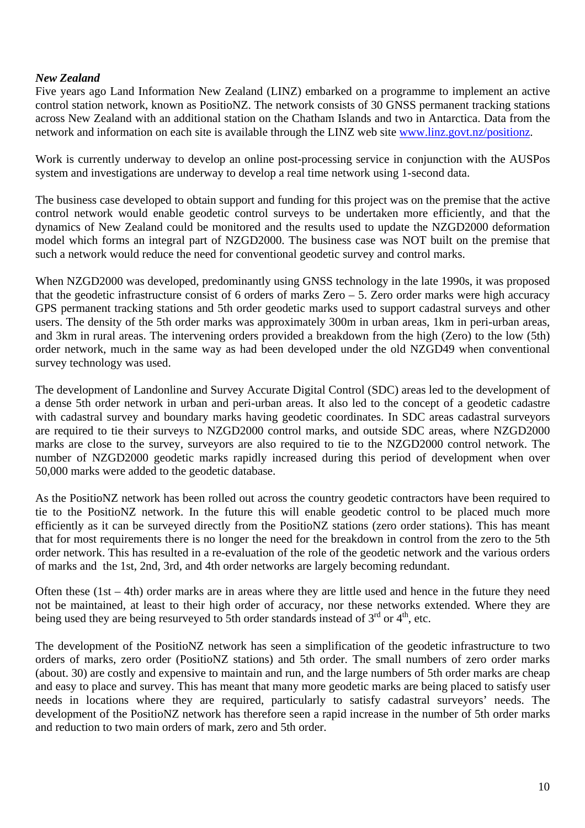# *New Zealand*

Five years ago Land Information New Zealand (LINZ) embarked on a programme to implement an active control station network, known as PositioNZ. The network consists of 30 GNSS permanent tracking stations across New Zealand with an additional station on the Chatham Islands and two in Antarctica. Data from the network and information on each site is available through the LINZ web site www.linz.govt.nz/positionz.

Work is currently underway to develop an online post-processing service in conjunction with the AUSPos system and investigations are underway to develop a real time network using 1-second data.

The business case developed to obtain support and funding for this project was on the premise that the active control network would enable geodetic control surveys to be undertaken more efficiently, and that the dynamics of New Zealand could be monitored and the results used to update the NZGD2000 deformation model which forms an integral part of NZGD2000. The business case was NOT built on the premise that such a network would reduce the need for conventional geodetic survey and control marks.

When NZGD2000 was developed, predominantly using GNSS technology in the late 1990s, it was proposed that the geodetic infrastructure consist of 6 orders of marks Zero – 5. Zero order marks were high accuracy GPS permanent tracking stations and 5th order geodetic marks used to support cadastral surveys and other users. The density of the 5th order marks was approximately 300m in urban areas, 1km in peri-urban areas, and 3km in rural areas. The intervening orders provided a breakdown from the high (Zero) to the low (5th) order network, much in the same way as had been developed under the old NZGD49 when conventional survey technology was used.

The development of Landonline and Survey Accurate Digital Control (SDC) areas led to the development of a dense 5th order network in urban and peri-urban areas. It also led to the concept of a geodetic cadastre with cadastral survey and boundary marks having geodetic coordinates. In SDC areas cadastral surveyors are required to tie their surveys to NZGD2000 control marks, and outside SDC areas, where NZGD2000 marks are close to the survey, surveyors are also required to tie to the NZGD2000 control network. The number of NZGD2000 geodetic marks rapidly increased during this period of development when over 50,000 marks were added to the geodetic database.

As the PositioNZ network has been rolled out across the country geodetic contractors have been required to tie to the PositioNZ network. In the future this will enable geodetic control to be placed much more efficiently as it can be surveyed directly from the PositioNZ stations (zero order stations). This has meant that for most requirements there is no longer the need for the breakdown in control from the zero to the 5th order network. This has resulted in a re-evaluation of the role of the geodetic network and the various orders of marks and the 1st, 2nd, 3rd, and 4th order networks are largely becoming redundant.

Often these (1st – 4th) order marks are in areas where they are little used and hence in the future they need not be maintained, at least to their high order of accuracy, nor these networks extended. Where they are being used they are being resurveyed to 5th order standards instead of  $3<sup>rd</sup>$  or  $4<sup>th</sup>$ , etc.

The development of the PositioNZ network has seen a simplification of the geodetic infrastructure to two orders of marks, zero order (PositioNZ stations) and 5th order. The small numbers of zero order marks (about. 30) are costly and expensive to maintain and run, and the large numbers of 5th order marks are cheap and easy to place and survey. This has meant that many more geodetic marks are being placed to satisfy user needs in locations where they are required, particularly to satisfy cadastral surveyors' needs. The development of the PositioNZ network has therefore seen a rapid increase in the number of 5th order marks and reduction to two main orders of mark, zero and 5th order.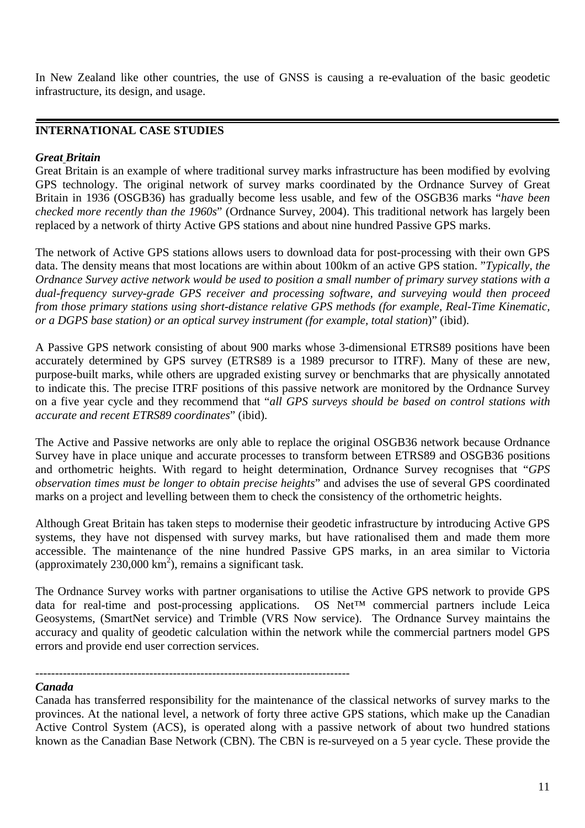In New Zealand like other countries, the use of GNSS is causing a re-evaluation of the basic geodetic infrastructure, its design, and usage.

# **INTERNATIONAL CASE STUDIES**

#### *Great Britain*

Great Britain is an example of where traditional survey marks infrastructure has been modified by evolving GPS technology. The original network of survey marks coordinated by the Ordnance Survey of Great Britain in 1936 (OSGB36) has gradually become less usable, and few of the OSGB36 marks "*have been checked more recently than the 1960s*" (Ordnance Survey, 2004). This traditional network has largely been replaced by a network of thirty Active GPS stations and about nine hundred Passive GPS marks.

The network of Active GPS stations allows users to download data for post-processing with their own GPS data. The density means that most locations are within about 100km of an active GPS station. "*Typically, the Ordnance Survey active network would be used to position a small number of primary survey stations with a dual-frequency survey-grade GPS receiver and processing software, and surveying would then proceed from those primary stations using short-distance relative GPS methods (for example, Real-Time Kinematic, or a DGPS base station) or an optical survey instrument (for example, total station*)" (ibid).

A Passive GPS network consisting of about 900 marks whose 3-dimensional ETRS89 positions have been accurately determined by GPS survey (ETRS89 is a 1989 precursor to ITRF). Many of these are new, purpose-built marks, while others are upgraded existing survey or benchmarks that are physically annotated to indicate this. The precise ITRF positions of this passive network are monitored by the Ordnance Survey on a five year cycle and they recommend that "*all GPS surveys should be based on control stations with accurate and recent ETRS89 coordinates*" (ibid).

The Active and Passive networks are only able to replace the original OSGB36 network because Ordnance Survey have in place unique and accurate processes to transform between ETRS89 and OSGB36 positions and orthometric heights. With regard to height determination, Ordnance Survey recognises that "*GPS observation times must be longer to obtain precise heights*" and advises the use of several GPS coordinated marks on a project and levelling between them to check the consistency of the orthometric heights.

Although Great Britain has taken steps to modernise their geodetic infrastructure by introducing Active GPS systems, they have not dispensed with survey marks, but have rationalised them and made them more accessible. The maintenance of the nine hundred Passive GPS marks, in an area similar to Victoria (approximately  $230,000 \text{ km}^2$ ), remains a significant task.

The Ordnance Survey works with partner organisations to utilise the Active GPS network to provide GPS data for real-time and post-processing applications. OS Net™ commercial partners include Leica Geosystems, (SmartNet service) and Trimble (VRS Now service). The Ordnance Survey maintains the accuracy and quality of geodetic calculation within the network while the commercial partners model GPS errors and provide end user correction services.

#### -------------------------------------------------------------------------------- *Canada*

Canada has transferred responsibility for the maintenance of the classical networks of survey marks to the provinces. At the national level, a network of forty three active GPS stations, which make up the Canadian Active Control System (ACS), is operated along with a passive network of about two hundred stations known as the Canadian Base Network (CBN). The CBN is re-surveyed on a 5 year cycle. These provide the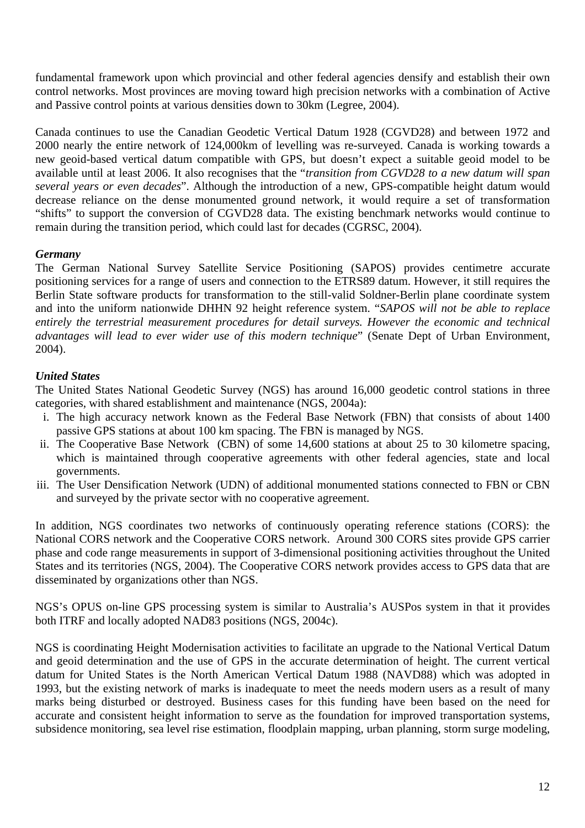fundamental framework upon which provincial and other federal agencies densify and establish their own control networks. Most provinces are moving toward high precision networks with a combination of Active and Passive control points at various densities down to 30km (Legree, 2004).

Canada continues to use the Canadian Geodetic Vertical Datum 1928 (CGVD28) and between 1972 and 2000 nearly the entire network of 124,000km of levelling was re-surveyed. Canada is working towards a new geoid-based vertical datum compatible with GPS, but doesn't expect a suitable geoid model to be available until at least 2006. It also recognises that the "*transition from CGVD28 to a new datum will span several years or even decades*". Although the introduction of a new, GPS-compatible height datum would decrease reliance on the dense monumented ground network, it would require a set of transformation "shifts" to support the conversion of CGVD28 data. The existing benchmark networks would continue to remain during the transition period, which could last for decades (CGRSC, 2004).

# *Germany*

The German National Survey Satellite Service Positioning (SAPOS) provides centimetre accurate positioning services for a range of users and connection to the ETRS89 datum. However, it still requires the Berlin State software products for transformation to the still-valid Soldner-Berlin plane coordinate system and into the uniform nationwide DHHN 92 height reference system. "*SAPOS will not be able to replace entirely the terrestrial measurement procedures for detail surveys. However the economic and technical advantages will lead to ever wider use of this modern technique*" (Senate Dept of Urban Environment, 2004).

# *United States*

The United States National Geodetic Survey (NGS) has around 16,000 geodetic control stations in three categories, with shared establishment and maintenance (NGS, 2004a):

- i. The high accuracy network known as the Federal Base Network (FBN) that consists of about 1400 passive GPS stations at about 100 km spacing. The FBN is managed by NGS.
- ii. The Cooperative Base Network (CBN) of some 14,600 stations at about 25 to 30 kilometre spacing, which is maintained through cooperative agreements with other federal agencies, state and local governments.
- iii. The User Densification Network (UDN) of additional monumented stations connected to FBN or CBN and surveyed by the private sector with no cooperative agreement.

In addition, NGS coordinates two networks of continuously operating reference stations (CORS): the National CORS network and the Cooperative CORS network. Around 300 CORS sites provide GPS carrier phase and code range measurements in support of 3-dimensional positioning activities throughout the United States and its territories (NGS, 2004). The Cooperative CORS network provides access to GPS data that are disseminated by organizations other than NGS.

NGS's OPUS on-line GPS processing system is similar to Australia's AUSPos system in that it provides both ITRF and locally adopted NAD83 positions (NGS, 2004c).

NGS is coordinating Height Modernisation activities to facilitate an upgrade to the National Vertical Datum and geoid determination and the use of GPS in the accurate determination of height. The current vertical datum for United States is the North American Vertical Datum 1988 (NAVD88) which was adopted in 1993, but the existing network of marks is inadequate to meet the needs modern users as a result of many marks being disturbed or destroyed. Business cases for this funding have been based on the need for accurate and consistent height information to serve as the foundation for improved transportation systems, subsidence monitoring, sea level rise estimation, floodplain mapping, urban planning, storm surge modeling,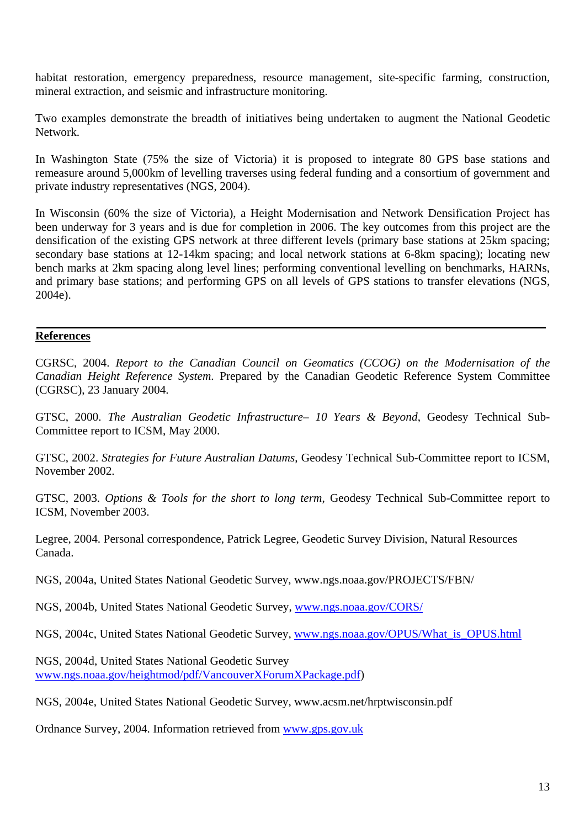habitat restoration, emergency preparedness, resource management, site-specific farming, construction, mineral extraction, and seismic and infrastructure monitoring.

Two examples demonstrate the breadth of initiatives being undertaken to augment the National Geodetic Network.

In Washington State (75% the size of Victoria) it is proposed to integrate 80 GPS base stations and remeasure around 5,000km of levelling traverses using federal funding and a consortium of government and private industry representatives (NGS, 2004).

In Wisconsin (60% the size of Victoria), a Height Modernisation and Network Densification Project has been underway for 3 years and is due for completion in 2006. The key outcomes from this project are the densification of the existing GPS network at three different levels (primary base stations at 25km spacing; secondary base stations at 12-14km spacing; and local network stations at 6-8km spacing); locating new bench marks at 2km spacing along level lines; performing conventional levelling on benchmarks, HARNs, and primary base stations; and performing GPS on all levels of GPS stations to transfer elevations (NGS, 2004e).

#### **References**

CGRSC, 2004. *Report to the Canadian Council on Geomatics (CCOG) on the Modernisation of the Canadian Height Reference System*. Prepared by the Canadian Geodetic Reference System Committee (CGRSC), 23 January 2004.

GTSC, 2000. *The Australian Geodetic Infrastructure– 10 Years & Beyond*, Geodesy Technical Sub-Committee report to ICSM, May 2000.

GTSC, 2002. *Strategies for Future Australian Datums*, Geodesy Technical Sub-Committee report to ICSM, November 2002.

GTSC, 2003. *Options & Tools for the short to long term*, Geodesy Technical Sub-Committee report to ICSM, November 2003.

Legree, 2004. Personal correspondence, Patrick Legree, Geodetic Survey Division, Natural Resources Canada.

NGS, 2004a, United States National Geodetic Survey, www.ngs.noaa.gov/PROJECTS/FBN/

NGS, 2004b, United States National Geodetic Survey, www.ngs.noaa.gov/CORS/

NGS, 2004c, United States National Geodetic Survey, www.ngs.noaa.gov/OPUS/What\_is\_OPUS.html

NGS, 2004d, United States National Geodetic Survey www.ngs.noaa.gov/heightmod/pdf/VancouverXForumXPackage.pdf)

NGS, 2004e, United States National Geodetic Survey, www.acsm.net/hrptwisconsin.pdf

Ordnance Survey, 2004. Information retrieved from www.gps.gov.uk